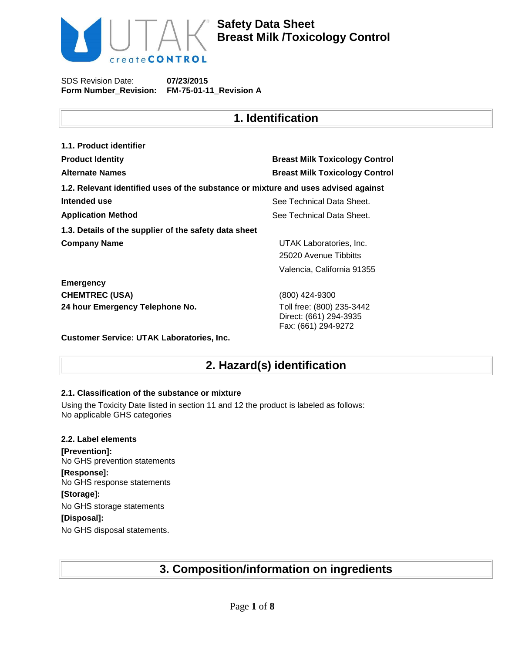

**Safety Data Sheet Breast Milk /Toxicology Control**

SDS Revision Date: **Form Number\_Revision: FM-75-01-11\_Revision A 07/23/2015**

## **1. Identification**

| 1.1. Product identifier                                                            |                                                                            |
|------------------------------------------------------------------------------------|----------------------------------------------------------------------------|
| <b>Product Identity</b>                                                            | <b>Breast Milk Toxicology Control</b>                                      |
| <b>Alternate Names</b>                                                             | <b>Breast Milk Toxicology Control</b>                                      |
| 1.2. Relevant identified uses of the substance or mixture and uses advised against |                                                                            |
| Intended use                                                                       | See Technical Data Sheet.                                                  |
| <b>Application Method</b>                                                          | See Technical Data Sheet.                                                  |
| 1.3. Details of the supplier of the safety data sheet                              |                                                                            |
| <b>Company Name</b>                                                                | UTAK Laboratories, Inc.<br>25020 Avenue Tibbitts                           |
|                                                                                    | Valencia, California 91355                                                 |
| <b>Emergency</b>                                                                   |                                                                            |
| <b>CHEMTREC (USA)</b>                                                              | (800) 424-9300                                                             |
| 24 hour Emergency Telephone No.                                                    | Toll free: (800) 235-3442<br>Direct: (661) 294-3935<br>Fax: (661) 294-9272 |

**Customer Service: UTAK Laboratories, Inc.**

## **2. Hazard(s) identification**

## **2.1. Classification of the substance or mixture**

Using the Toxicity Date listed in section 11 and 12 the product is labeled as follows: No applicable GHS categories

## **2.2. Label elements [Prevention]:** No GHS prevention statements **[Response]:**  No GHS response statements **[Storage]:**  No GHS storage statements **[Disposal]:**  No GHS disposal statements.

# **3. Composition/information on ingredients**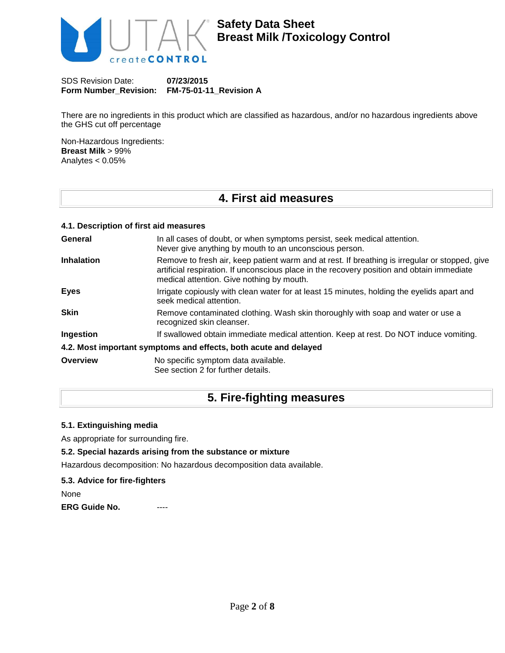

There are no ingredients in this product which are classified as hazardous, and/or no hazardous ingredients above the GHS cut off percentage

Non-Hazardous Ingredients: **Breast Milk** > 99% Analytes < 0.05%

# **4. First aid measures**

### **4.1. Description of first aid measures**

| General           | In all cases of doubt, or when symptoms persist, seek medical attention.<br>Never give anything by mouth to an unconscious person.                                                                                                        |
|-------------------|-------------------------------------------------------------------------------------------------------------------------------------------------------------------------------------------------------------------------------------------|
| <b>Inhalation</b> | Remove to fresh air, keep patient warm and at rest. If breathing is irregular or stopped, give<br>artificial respiration. If unconscious place in the recovery position and obtain immediate<br>medical attention. Give nothing by mouth. |
| <b>Eyes</b>       | Irrigate copiously with clean water for at least 15 minutes, holding the eyelids apart and<br>seek medical attention.                                                                                                                     |
| <b>Skin</b>       | Remove contaminated clothing. Wash skin thoroughly with soap and water or use a<br>recognized skin cleanser.                                                                                                                              |
| Ingestion         | If swallowed obtain immediate medical attention. Keep at rest. Do NOT induce vomiting.                                                                                                                                                    |
|                   | 4.2. Most important symptoms and effects, both acute and delayed                                                                                                                                                                          |
| Overview          | No specific symptom data available.<br>See section 2 for further details.                                                                                                                                                                 |

## **5. Fire-fighting measures**

### **5.1. Extinguishing media**

As appropriate for surrounding fire.

## **5.2. Special hazards arising from the substance or mixture**

Hazardous decomposition: No hazardous decomposition data available.

#### **5.3. Advice for fire-fighters**

None

**ERG Guide No.**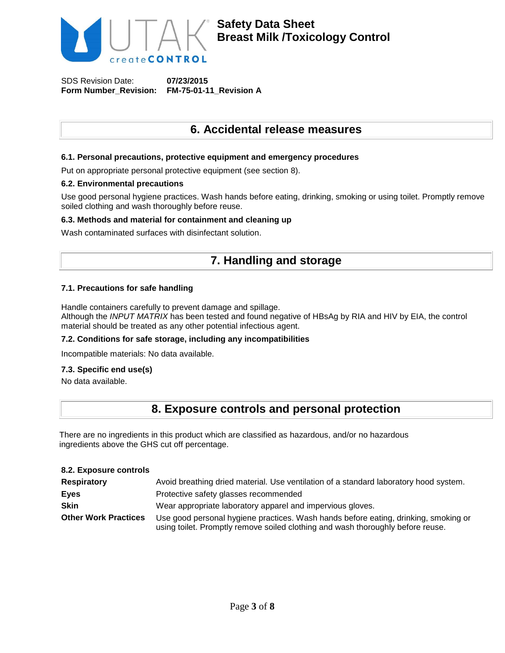

## **6. Accidental release measures**

### **6.1. Personal precautions, protective equipment and emergency procedures**

Put on appropriate personal protective equipment (see section 8).

#### **6.2. Environmental precautions**

Use good personal hygiene practices. Wash hands before eating, drinking, smoking or using toilet. Promptly remove soiled clothing and wash thoroughly before reuse.

#### **6.3. Methods and material for containment and cleaning up**

Wash contaminated surfaces with disinfectant solution.

## **7. Handling and storage**

### **7.1. Precautions for safe handling**

Handle containers carefully to prevent damage and spillage.

Although the *INPUT MATRIX* has been tested and found negative of HBsAg by RIA and HIV by EIA, the control material should be treated as any other potential infectious agent.

#### **7.2. Conditions for safe storage, including any incompatibilities**

Incompatible materials: No data available.

#### **7.3. Specific end use(s)**

No data available.

## **8. Exposure controls and personal protection**

There are no ingredients in this product which are classified as hazardous, and/or no hazardous ingredients above the GHS cut off percentage.

#### **8.2. Exposure controls**

| <b>Respiratory</b>          | Avoid breathing dried material. Use ventilation of a standard laboratory hood system.                                                                                  |
|-----------------------------|------------------------------------------------------------------------------------------------------------------------------------------------------------------------|
| <b>Eyes</b>                 | Protective safety glasses recommended                                                                                                                                  |
| <b>Skin</b>                 | Wear appropriate laboratory apparel and impervious gloves.                                                                                                             |
| <b>Other Work Practices</b> | Use good personal hygiene practices. Wash hands before eating, drinking, smoking or<br>using toilet. Promptly remove soiled clothing and wash thoroughly before reuse. |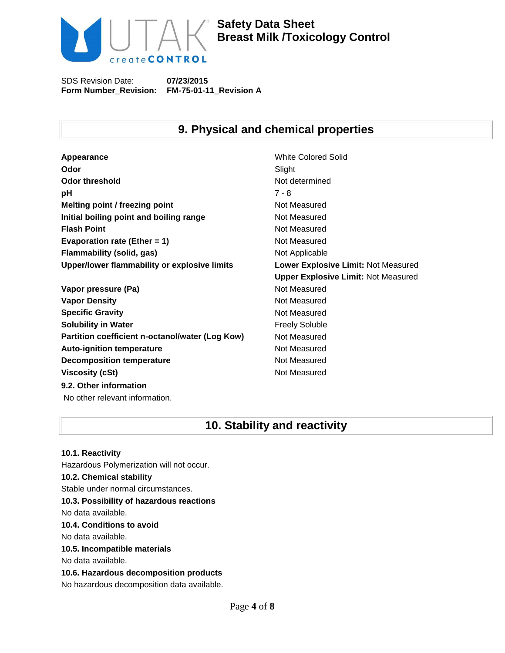

**Safety Data Sheet Breast Milk /Toxicology Control**

SDS Revision Date: **Form Number\_Revision: FM-75-01-11\_Revision A 07/23/2015**

## **9. Physical and chemical properties**

**Appearance** White Colored Solid **Odor** Slight **Odor threshold** Not determined **pH** 7 - 8 **Melting point / freezing point** Not Measured **Initial boiling point and boiling range Moth Measured Resured Flash Point** Not Measured **Evaporation rate (Ether = 1)** Not Measured **Flammability (solid, gas)** Not Applicable **Upper/lower flammability or explosive limits Lower Explosive Limit:** Not Measured

**Vapor pressure (Pa)** Not Measured **Vapor Density Not Measured** Not Measured **Specific Gravity Not Measured Solubility in Water Figure 1.1 Contract Contract Preely Soluble Partition coefficient n-octanol/water (Log Kow)** Not Measured Auto-ignition temperature **Not Measured** Not Measured **Decomposition temperature** Not Measured **Viscosity (cSt)** Not Measured **9.2. Other information** No other relevant information.

**Upper Explosive Limit:** Not Measured

## **10. Stability and reactivity**

**10.1. Reactivity** Hazardous Polymerization will not occur. **10.2. Chemical stability** Stable under normal circumstances. **10.3. Possibility of hazardous reactions** No data available. **10.4. Conditions to avoid** No data available. **10.5. Incompatible materials** No data available. **10.6. Hazardous decomposition products** No hazardous decomposition data available.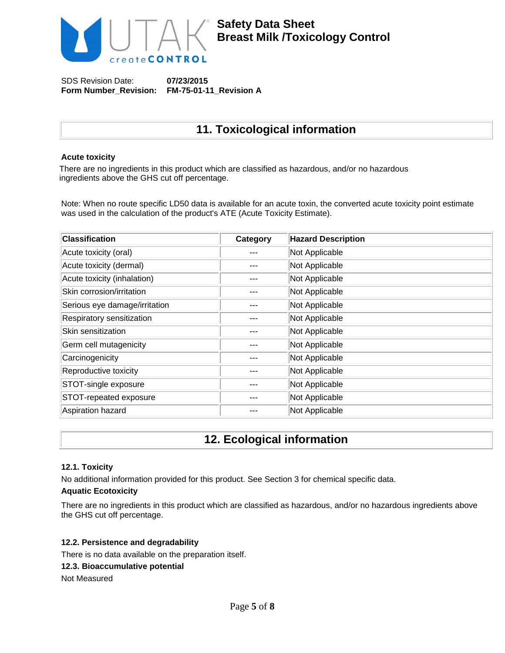

# **11. Toxicological information**

## **Acute toxicity**

There are no ingredients in this product which are classified as hazardous, and/or no hazardous ingredients above the GHS cut off percentage.

Note: When no route specific LD50 data is available for an acute toxin, the converted acute toxicity point estimate was used in the calculation of the product's ATE (Acute Toxicity Estimate).

| <b>Classification</b>         | Category | <b>Hazard Description</b> |
|-------------------------------|----------|---------------------------|
| Acute toxicity (oral)         |          | Not Applicable            |
| Acute toxicity (dermal)       |          | Not Applicable            |
| Acute toxicity (inhalation)   |          | Not Applicable            |
| Skin corrosion/irritation     |          | Not Applicable            |
| Serious eye damage/irritation |          | Not Applicable            |
| Respiratory sensitization     |          | Not Applicable            |
| Skin sensitization            |          | Not Applicable            |
| Germ cell mutagenicity        |          | Not Applicable            |
| Carcinogenicity               |          | Not Applicable            |
| Reproductive toxicity         |          | Not Applicable            |
| STOT-single exposure          |          | Not Applicable            |
| STOT-repeated exposure        |          | Not Applicable            |
| Aspiration hazard             |          | Not Applicable            |

## **12. Ecological information**

## **12.1. Toxicity**

No additional information provided for this product. See Section 3 for chemical specific data.

### **Aquatic Ecotoxicity**

There are no ingredients in this product which are classified as hazardous, and/or no hazardous ingredients above the GHS cut off percentage.

#### **12.2. Persistence and degradability**

There is no data available on the preparation itself.

#### **12.3. Bioaccumulative potential**

Not Measured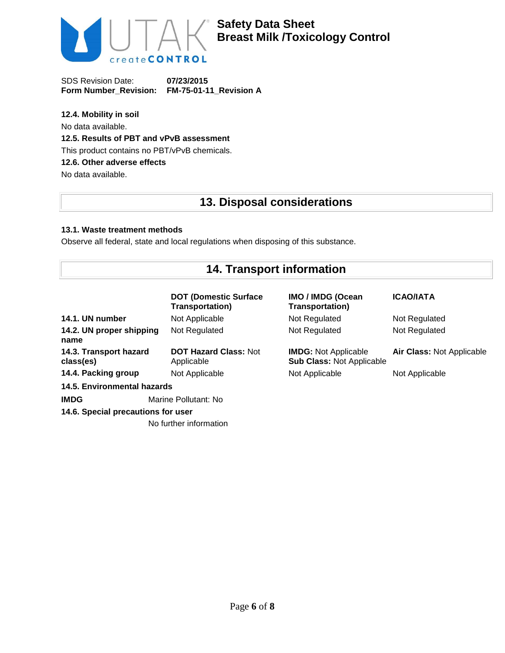

## **12.4. Mobility in soil**

No data available.

## **12.5. Results of PBT and vPvB assessment**

This product contains no PBT/vPvB chemicals.

## **12.6. Other adverse effects**

No data available.

# **13. Disposal considerations**

## **13.1. Waste treatment methods**

Observe all federal, state and local regulations when disposing of this substance.

# **14. Transport information**

|                                     | <b>DOT (Domestic Surface</b><br><b>Transportation)</b> | <b>IMO / IMDG (Ocean</b><br><b>Transportation)</b>              | <b>ICAO/IATA</b>          |
|-------------------------------------|--------------------------------------------------------|-----------------------------------------------------------------|---------------------------|
| 14.1. UN number                     | Not Applicable                                         | Not Regulated                                                   | Not Regulated             |
| 14.2. UN proper shipping<br>name    | Not Regulated                                          | Not Regulated                                                   | Not Regulated             |
| 14.3. Transport hazard<br>class(es) | <b>DOT Hazard Class: Not</b><br>Applicable             | <b>IMDG:</b> Not Applicable<br><b>Sub Class: Not Applicable</b> | Air Class: Not Applicable |
| 14.4. Packing group                 | Not Applicable                                         | Not Applicable                                                  | Not Applicable            |
| 14.5. Environmental hazards         |                                                        |                                                                 |                           |
| <b>IMDG</b>                         | Marine Pollutant: No                                   |                                                                 |                           |
| 14.6. Special precautions for user  |                                                        |                                                                 |                           |

No further information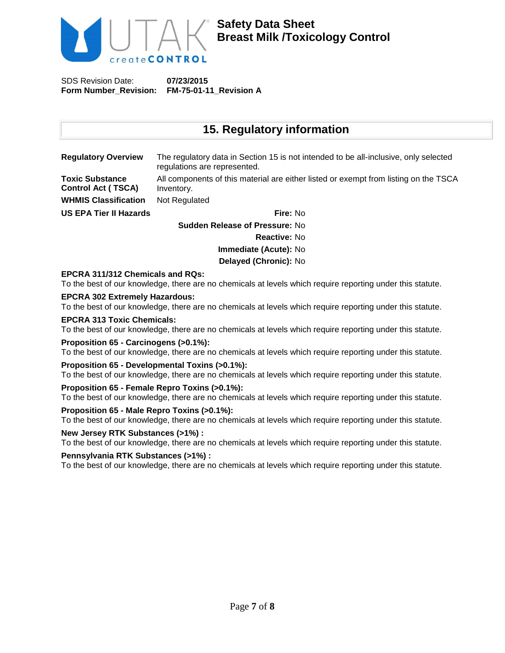

## **15. Regulatory information**

| <b>Regulatory Overview</b>                          | The regulatory data in Section 15 is not intended to be all-inclusive, only selected<br>regulations are represented. |
|-----------------------------------------------------|----------------------------------------------------------------------------------------------------------------------|
| <b>Toxic Substance</b><br><b>Control Act (TSCA)</b> | All components of this material are either listed or exempt from listing on the TSCA<br>Inventory.                   |
| <b>WHMIS Classification</b>                         | Not Regulated                                                                                                        |
| <b>US EPA Tier II Hazards</b>                       | Fire: No                                                                                                             |
|                                                     | <b>Sudden Release of Pressure: No</b>                                                                                |

**Reactive:** No **Immediate (Acute):** No **Delayed (Chronic):** No

## **EPCRA 311/312 Chemicals and RQs:**

To the best of our knowledge, there are no chemicals at levels which require reporting under this statute.

#### **EPCRA 302 Extremely Hazardous:**

To the best of our knowledge, there are no chemicals at levels which require reporting under this statute.

### **EPCRA 313 Toxic Chemicals:**

To the best of our knowledge, there are no chemicals at levels which require reporting under this statute.

#### **Proposition 65 - Carcinogens (>0.1%):**

To the best of our knowledge, there are no chemicals at levels which require reporting under this statute.

#### **Proposition 65 - Developmental Toxins (>0.1%):**

To the best of our knowledge, there are no chemicals at levels which require reporting under this statute.

## **Proposition 65 - Female Repro Toxins (>0.1%):**

To the best of our knowledge, there are no chemicals at levels which require reporting under this statute.

## **Proposition 65 - Male Repro Toxins (>0.1%):**

To the best of our knowledge, there are no chemicals at levels which require reporting under this statute.

## **New Jersey RTK Substances (>1%) :**

To the best of our knowledge, there are no chemicals at levels which require reporting under this statute.

## **Pennsylvania RTK Substances (>1%) :**

To the best of our knowledge, there are no chemicals at levels which require reporting under this statute.